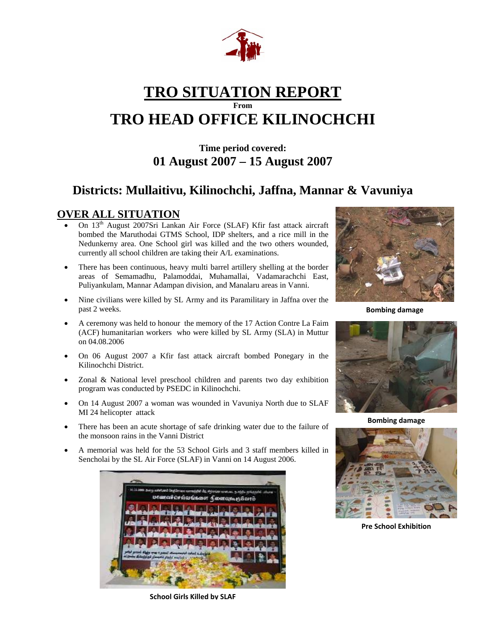

# **TRO SITUATION REPORT From TRO HEAD OFFICE KILINOCHCHI**

## **Time period covered: 01 August 2007 – 15 August 2007**

# **Districts: Mullaitivu, Kilinochchi, Jaffna, Mannar & Vavuniya**

## **OVER ALL SITUATION**

- On 13th August 2007Sri Lankan Air Force (SLAF) Kfir fast attack aircraft bombed the Maruthodai GTMS School, IDP shelters, and a rice mill in the Nedunkerny area. One School girl was killed and the two others wounded, currently all school children are taking their A/L examinations.
- There has been continuous, heavy multi barrel artillery shelling at the border areas of Semamadhu, Palamoddai, Muhamallai, Vadamarachchi East, Puliyankulam, Mannar Adampan division, and Manalaru areas in Vanni.
- Nine civilians were killed by SL Army and its Paramilitary in Jaffna over the past 2 weeks.
- A ceremony was held to honour the memory of the 17 Action Contre La Faim (ACF) humanitarian workers who were killed by SL Army (SLA) in Muttur on 04.08.2006
- On 06 August 2007 a Kfir fast attack aircraft bombed Ponegary in the Kilinochchi District.
- Zonal & National level preschool children and parents two day exhibition program was conducted by PSEDC in Kilinochchi.
- On 14 August 2007 a woman was wounded in Vavuniya North due to SLAF MI 24 helicopter attack
- There has been an acute shortage of safe drinking water due to the failure of the monsoon rains in the Vanni District
- A memorial was held for the 53 School Girls and 3 staff members killed in Sencholai by the SL Air Force (SLAF) in Vanni on 14 August 2006.



**School Girls Killed by SLAF**



**Bombing damage**



**Bombing damage**



**Pre School Exhibition**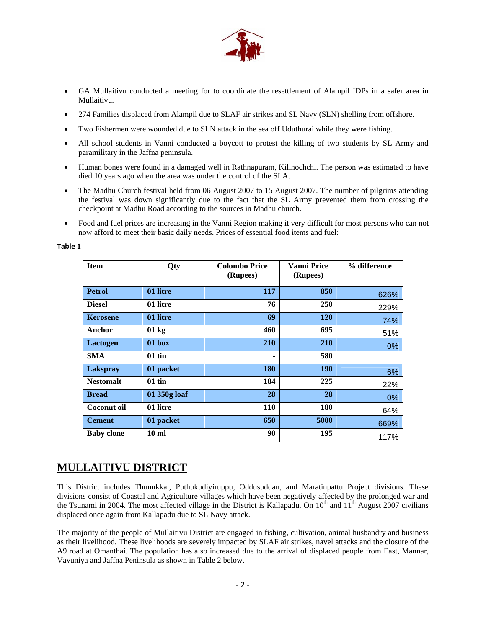

- GA Mullaitivu conducted a meeting for to coordinate the resettlement of Alampil IDPs in a safer area in Mullaitivu.
- 274 Families displaced from Alampil due to SLAF air strikes and SL Navy (SLN) shelling from offshore.
- Two Fishermen were wounded due to SLN attack in the sea off Uduthurai while they were fishing.
- All school students in Vanni conducted a boycott to protest the killing of two students by SL Army and paramilitary in the Jaffna peninsula.
- Human bones were found in a damaged well in Rathnapuram, Kilinochchi. The person was estimated to have died 10 years ago when the area was under the control of the SLA.
- The Madhu Church festival held from 06 August 2007 to 15 August 2007. The number of pilgrims attending the festival was down significantly due to the fact that the SL Army prevented them from crossing the checkpoint at Madhu Road according to the sources in Madhu church.
- Food and fuel prices are increasing in the Vanni Region making it very difficult for most persons who can not now afford to meet their basic daily needs. Prices of essential food items and fuel:

#### **Table 1**

| <b>Item</b>        | Qty          | <b>Colombo Price</b><br>(Rupees) | <b>Vanni Price</b><br>(Rupees) | % difference |
|--------------------|--------------|----------------------------------|--------------------------------|--------------|
| <b>Petrol</b>      | 01 litre     | 117                              | 850                            | 626%         |
| <b>Diesel</b>      | 01 litre     | 76                               | <b>250</b>                     | 229%         |
| <b>Kerosene</b>    | 01 litre     | 69                               | <b>120</b>                     | 74%          |
| Anchor             | 01 kg        | 460                              | 695                            | 51%          |
| Lactogen           | 01 box       | 210                              | <b>210</b>                     | 0%           |
| <b>SMA</b>         | $01$ tin     | ٠                                | 580                            |              |
| Lakspray           | 01 packet    | <b>180</b>                       | <b>190</b>                     | 6%           |
| <b>Nestomalt</b>   | $01$ tin     | 184                              | 225                            | 22%          |
| <b>Bread</b>       | 01 350g loaf | 28                               | 28                             | 0%           |
| <b>Coconut oil</b> | 01 litre     | 110                              | 180                            | 64%          |
| <b>Cement</b>      | 01 packet    | 650                              | 5000                           | 669%         |
| <b>Baby clone</b>  | $10$ ml      | 90                               | 195                            | 117%         |

## **MULLAITIVU DISTRICT**

This District includes Thunukkai, Puthukudiyiruppu, Oddusuddan, and Maratinpattu Project divisions. These divisions consist of Coastal and Agriculture villages which have been negatively affected by the prolonged war and the Tsunami in 2004. The most affected village in the District is Kallapadu. On  $10<sup>th</sup>$  and  $11<sup>th</sup>$  August 2007 civilians displaced once again from Kallapadu due to SL Navy attack.

The majority of the people of Mullaitivu District are engaged in fishing, cultivation, animal husbandry and business as their livelihood. These livelihoods are severely impacted by SLAF air strikes, navel attacks and the closure of the A9 road at Omanthai. The population has also increased due to the arrival of displaced people from East, Mannar, Vavuniya and Jaffna Peninsula as shown in Table 2 below.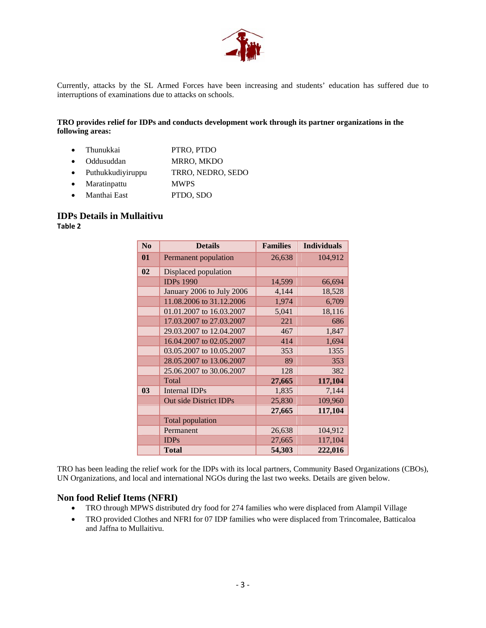

Currently, attacks by the SL Armed Forces have been increasing and students' education has suffered due to interruptions of examinations due to attacks on schools.

#### **TRO provides relief for IDPs and conducts development work through its partner organizations in the following areas:**

- Thunukkai PTRO, PTDO
- Oddusuddan MRRO, MKDO
- Puthukkudiyiruppu TRRO, NEDRO, SEDO
- Maratinpattu MWPS
- Manthai East PTDO, SDO

#### **IDPs Details in Mullaitivu**

**Table 2**

| $\bf N$ <sub>0</sub> | <b>Details</b>                | <b>Families</b> | <b>Individuals</b> |
|----------------------|-------------------------------|-----------------|--------------------|
| 01                   | Permanent population          | 26,638          | 104,912            |
| 02                   | Displaced population          |                 |                    |
|                      | <b>IDPs 1990</b>              | 14,599          | 66,694             |
|                      | January 2006 to July 2006     | 4,144           | 18,528             |
|                      | 11.08.2006 to 31.12.2006      | 1,974           | 6,709              |
|                      | 01.01.2007 to 16.03.2007      | 5,041           | 18,116             |
|                      | 17.03.2007 to 27.03.2007      | 221             | 686                |
|                      | 29.03.2007 to 12.04.2007      | 467             | 1,847              |
|                      | 16.04.2007 to 02.05.2007      | 414             | 1,694              |
|                      | 03.05.2007 to 10.05.2007      | 353             | 1355               |
|                      | 28.05.2007 to 13.06.2007      | 89              | 353                |
|                      | 25.06.2007 to 30.06.2007      | 128             | 382                |
|                      | Total                         | 27,665          | 117,104            |
| 0 <sub>3</sub>       | Internal IDPs                 | 1,835           | 7,144              |
|                      | <b>Out side District IDPs</b> | 25,830          | 109,960            |
|                      |                               | 27,665          | 117,104            |
|                      | <b>Total population</b>       |                 |                    |
|                      | Permanent                     | 26,638          | 104,912            |
|                      | <b>IDPs</b>                   | 27,665          | 117,104            |
|                      | <b>Total</b>                  | 54,303          | 222,016            |

TRO has been leading the relief work for the IDPs with its local partners, Community Based Organizations (CBOs), UN Organizations, and local and international NGOs during the last two weeks. Details are given below.

#### **Non food Relief Items (NFRI)**

- TRO through MPWS distributed dry food for 274 families who were displaced from Alampil Village
- TRO provided Clothes and NFRI for 07 IDP families who were displaced from Trincomalee, Batticaloa and Jaffna to Mullaitivu.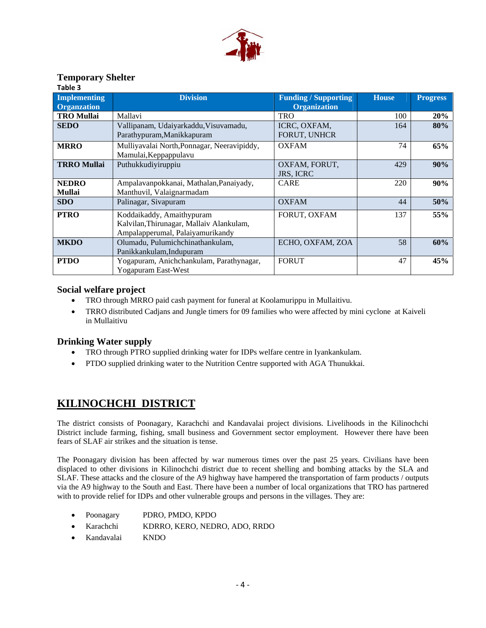

## **Temporary Shelter**

| Table 3                                   |                                                                                                           |                                                    |              |                 |
|-------------------------------------------|-----------------------------------------------------------------------------------------------------------|----------------------------------------------------|--------------|-----------------|
| <b>Implementing</b><br><b>Organzation</b> | <b>Division</b>                                                                                           | <b>Funding / Supporting</b><br><b>Organization</b> | <b>House</b> | <b>Progress</b> |
| <b>TRO Mullai</b>                         | Mallavi                                                                                                   | <b>TRO</b>                                         | 100          | 20%             |
| <b>SEDO</b>                               | Vallipanam, Udaiyarkaddu, Visuvamadu,<br>Parathypuram, Manikkapuram                                       | ICRC, OXFAM,<br><b>FORUT, UNHCR</b>                | 164          | 80%             |
| <b>MRRO</b>                               | Mulliyavalai North, Ponnagar, Neeravipiddy,<br>Mamulai, Keppappulavu                                      | <b>OXFAM</b>                                       | 74           | 65%             |
| <b>TRRO Mullai</b>                        | Puthukkudiyiruppiu                                                                                        | OXFAM, FORUT,<br><b>JRS, ICRC</b>                  | 429          | 90%             |
| <b>NEDRO</b><br><b>Mullai</b>             | Ampalavanpokkanai, Mathalan, Panaiyady,<br>Manthuvil, Valaignarmadam                                      | <b>CARE</b>                                        | 220          | 90%             |
| <b>SDO</b>                                | Palinagar, Sivapuram                                                                                      | <b>OXFAM</b>                                       | 44           | 50%             |
| <b>PTRO</b>                               | Koddaikaddy, Amaithypuram<br>Kalvilan, Thirunagar, Mallaiv Alankulam,<br>Ampalapperumal, Palaiyamurikandy | FORUT, OXFAM                                       | 137          | 55%             |
| <b>MKDO</b>                               | Olumadu, Pulumichchinathankulam,<br>Panikkankulam, Indupuram                                              | ECHO, OXFAM, ZOA                                   | 58           | 60%             |
| <b>PTDO</b>                               | Yogapuram, Anichchankulam, Parathynagar,<br>Yogapuram East-West                                           | <b>FORUT</b>                                       | 47           | 45%             |

### **Social welfare project**

- TRO through MRRO paid cash payment for funeral at Koolamurippu in Mullaitivu.
- TRRO distributed Cadjans and Jungle timers for 09 families who were affected by mini cyclone at Kaiveli in Mullaitivu

## **Drinking Water supply**

- TRO through PTRO supplied drinking water for IDPs welfare centre in Iyankankulam.
- PTDO supplied drinking water to the Nutrition Centre supported with AGA Thunukkai.

## **KILINOCHCHI DISTRICT**

The district consists of Poonagary, Karachchi and Kandavalai project divisions. Livelihoods in the Kilinochchi District include farming, fishing, small business and Government sector employment. However there have been fears of SLAF air strikes and the situation is tense.

The Poonagary division has been affected by war numerous times over the past 25 years. Civilians have been displaced to other divisions in Kilinochchi district due to recent shelling and bombing attacks by the SLA and SLAF. These attacks and the closure of the A9 highway have hampered the transportation of farm products / outputs via the A9 highway to the South and East. There have been a number of local organizations that TRO has partnered with to provide relief for IDPs and other vulnerable groups and persons in the villages. They are:

- Poonagary PDRO, PMDO, KPDO
- Karachchi KDRRO, KERO, NEDRO, ADO, RRDO
- Kandavalai KNDO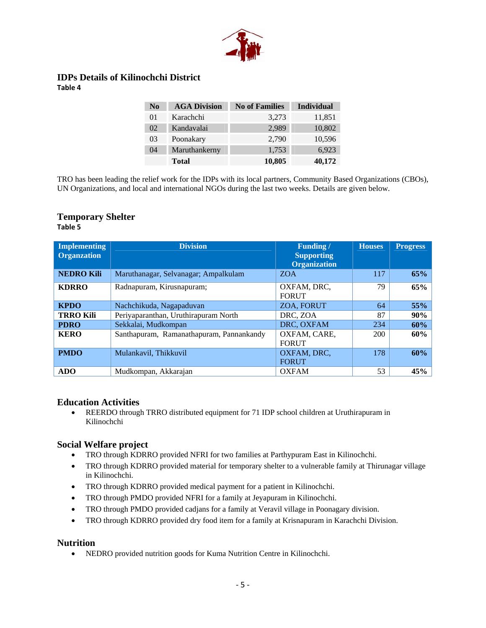

#### **IDPs Details of Kilinochchi District Table 4**

| N <sub>0</sub> | <b>AGA Division</b> | <b>No of Families</b> | <b>Individual</b> |
|----------------|---------------------|-----------------------|-------------------|
| 01             | Karachchi           | 3,273                 | 11,851            |
| 02             | Kandavalai          | 2,989                 | 10,802            |
| 03             | Poonakary           | 2,790                 | 10,596            |
| 04             | Maruthankerny       | 1,753                 | 6,923             |
|                | <b>Total</b>        | 10,805                | 40,172            |

TRO has been leading the relief work for the IDPs with its local partners, Community Based Organizations (CBOs), UN Organizations, and local and international NGOs during the last two weeks. Details are given below.

#### **Temporary Shelter Table 5**

| <b>Implementing</b><br><b>Organzation</b> | <b>Division</b>                          | <b>Funding</b> /<br><b>Supporting</b><br><b>Organization</b> | <b>Houses</b> | <b>Progress</b> |
|-------------------------------------------|------------------------------------------|--------------------------------------------------------------|---------------|-----------------|
| <b>NEDRO Kili</b>                         | Maruthanagar, Selvanagar; Ampalkulam     | <b>ZOA</b>                                                   | 117           | 65%             |
| <b>KDRRO</b>                              | Radnapuram, Kirusnapuram;                | OXFAM, DRC,<br><b>FORUT</b>                                  | 79            | 65%             |
| <b>KPDO</b>                               | Nachchikuda, Nagapaduvan                 | ZOA, FORUT                                                   | 64            | 55%             |
| <b>TRRO Kili</b>                          | Periyaparanthan, Uruthirapuram North     | DRC, ZOA                                                     | 87            | 90%             |
| <b>PDRO</b>                               | Sekkalai, Mudkompan                      | DRC. OXFAM                                                   | 234           | 60%             |
| <b>KERO</b>                               | Santhapuram, Ramanathapuram, Pannankandy | OXFAM, CARE,<br><b>FORUT</b>                                 | 200           | 60%             |
| <b>PMDO</b>                               | Mulankavil, Thikkuvil                    | OXFAM, DRC,<br><b>FORUT</b>                                  | 178           | 60%             |
| <b>ADO</b>                                | Mudkompan, Akkarajan                     | <b>OXFAM</b>                                                 | 53            | 45%             |

#### **Education Activities**

• REERDO through TRRO distributed equipment for 71 IDP school children at Uruthirapuram in Kilinochchi

#### **Social Welfare project**

- TRO through KDRRO provided NFRI for two families at Parthypuram East in Kilinochchi.
- TRO through KDRRO provided material for temporary shelter to a vulnerable family at Thirunagar village in Kilinochchi.
- TRO through KDRRO provided medical payment for a patient in Kilinochchi.
- TRO through PMDO provided NFRI for a family at Jeyapuram in Kilinochchi.
- TRO through PMDO provided cadjans for a family at Veravil village in Poonagary division.
- TRO through KDRRO provided dry food item for a family at Krisnapuram in Karachchi Division.

#### **Nutrition**

• NEDRO provided nutrition goods for Kuma Nutrition Centre in Kilinochchi.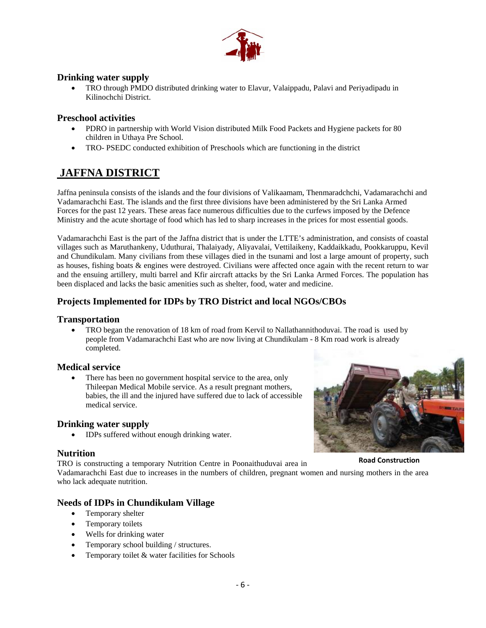

### **Drinking water supply**

• TRO through PMDO distributed drinking water to Elavur, Valaippadu, Palavi and Periyadipadu in Kilinochchi District.

### **Preschool activities**

- PDRO in partnership with World Vision distributed Milk Food Packets and Hygiene packets for 80 children in Uthaya Pre School.
- TRO- PSEDC conducted exhibition of Preschools which are functioning in the district

## **JAFFNA DISTRICT**

Jaffna peninsula consists of the islands and the four divisions of Valikaamam, Thenmaradchchi, Vadamarachchi and Vadamarachchi East. The islands and the first three divisions have been administered by the Sri Lanka Armed Forces for the past 12 years. These areas face numerous difficulties due to the curfews imposed by the Defence Ministry and the acute shortage of food which has led to sharp increases in the prices for most essential goods.

Vadamarachchi East is the part of the Jaffna district that is under the LTTE's administration, and consists of coastal villages such as Maruthankeny, Uduthurai, Thalaiyady, Aliyavalai, Vettilaikeny, Kaddaikkadu, Pookkaruppu, Kevil and Chundikulam. Many civilians from these villages died in the tsunami and lost a large amount of property, such as houses, fishing boats & engines were destroyed. Civilians were affected once again with the recent return to war and the ensuing artillery, multi barrel and Kfir aircraft attacks by the Sri Lanka Armed Forces. The population has been displaced and lacks the basic amenities such as shelter, food, water and medicine.

## **Projects Implemented for IDPs by TRO District and local NGOs/CBOs**

### **Transportation**

• TRO began the renovation of 18 km of road from Kervil to Nallathannithoduvai. The road is used by people from Vadamarachchi East who are now living at Chundikulam - 8 Km road work is already completed.

#### **Medical service**

There has been no government hospital service to the area, only Thileepan Medical Mobile service. As a result pregnant mothers, babies, the ill and the injured have suffered due to lack of accessible medical service.

## **Drinking water supply**

• IDPs suffered without enough drinking water.

#### **Nutrition**

TRO is constructing a temporary Nutrition Centre in Poonaithuduvai area in Vadamarachchi East due to increases in the numbers of children, pregnant women and nursing mothers in the area who lack adequate nutrition. **Road Construction**

## **Needs of IDPs in Chundikulam Village**

- Temporary shelter
- Temporary toilets
- Wells for drinking water
- Temporary school building / structures.
- Temporary toilet & water facilities for Schools

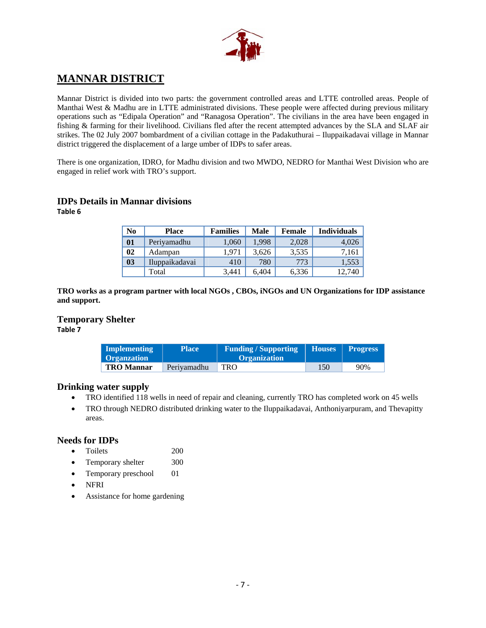

## **MANNAR DISTRICT**

Mannar District is divided into two parts: the government controlled areas and LTTE controlled areas. People of Manthai West & Madhu are in LTTE administrated divisions. These people were affected during previous military operations such as "Edipala Operation" and "Ranagosa Operation". The civilians in the area have been engaged in fishing & farming for their livelihood. Civilians fled after the recent attempted advances by the SLA and SLAF air strikes. The 02 July 2007 bombardment of a civilian cottage in the Padakuthurai – Iluppaikadavai village in Mannar district triggered the displacement of a large umber of IDPs to safer areas.

There is one organization, IDRO, for Madhu division and two MWDO, NEDRO for Manthai West Division who are engaged in relief work with TRO's support.

### **IDPs Details in Mannar divisions**

**Table 6**

| N <sub>0</sub> | <b>Place</b>   | <b>Families</b> | Male  | <b>Female</b> | <b>Individuals</b> |
|----------------|----------------|-----------------|-------|---------------|--------------------|
| 01             | Periyamadhu    | 1.060           | 1.998 | 2.028         | 4.026              |
| 02             | Adampan        | 1.971           | 3,626 | 3,535         | 7.161              |
| 03             | Iluppaikadavai | 410             | 780   | 773           | 1,553              |
|                | Total          | 3,441           | 6.404 | 6,336         | 12,740             |

**TRO works as a program partner with local NGOs , CBOs, iNGOs and UN Organizations for IDP assistance and support.** 

# **Temporary Shelter**

**Table 7**

| Implementing<br><b>Organization</b> | <b>Place</b> | <b>Funding / Supporting</b><br><b>Organization</b> | <b>Houses</b> | <b>Progress</b> |
|-------------------------------------|--------------|----------------------------------------------------|---------------|-----------------|
| <b>TRO Mannar</b>                   | Perivamadhu  | TRO                                                | 150           | 90%             |

#### **Drinking water supply**

- TRO identified 118 wells in need of repair and cleaning, currently TRO has completed work on 45 wells
- TRO through NEDRO distributed drinking water to the Iluppaikadavai, Anthoniyarpuram, and Thevapitty areas.

#### **Needs for IDPs**

- Toilets 200
- Temporary shelter 300
- Temporary preschool 01
- NFRI
- Assistance for home gardening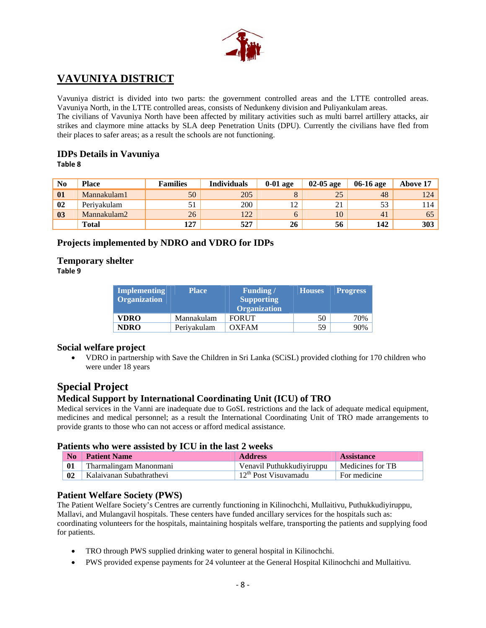

## **VAVUNIYA DISTRICT**

Vavuniya district is divided into two parts: the government controlled areas and the LTTE controlled areas. Vavuniya North, in the LTTE controlled areas, consists of Nedunkeny division and Puliyankulam areas.

The civilians of Vavuniya North have been affected by military activities such as multi barrel artillery attacks, air strikes and claymore mine attacks by SLA deep Penetration Units (DPU). Currently the civilians have fled from their places to safer areas; as a result the schools are not functioning.

## **IDPs Details in Vavuniya**

**Table 8**

| N <sub>0</sub> | <b>Place</b> | <b>Families</b> | <b>Individuals</b> | $0-01$ age | $02-05$ age | 06-16 age | <b>Above 17</b> |
|----------------|--------------|-----------------|--------------------|------------|-------------|-----------|-----------------|
| 01             | Mannakulam1  | 50              | 205                |            | 25          | 48        | 124             |
| 02             | Perivakulam  |                 | 200                |            | ∠ I         | 53        | 114             |
| 0 <sub>3</sub> | Mannakulam2  | 26              | 122                |            | 10          | 41        | 65              |
|                | <b>Total</b> | 127             | 527                | 26         | 56          | 142       | 303             |

## **Projects implemented by NDRO and VDRO for IDPs**

### **Temporary shelter**

**Table 9**

| <b>Implementing</b><br><b>Organization</b> | <b>Place</b> | <b>Funding</b> /<br><b>Supporting</b><br><b>Organization</b> | <b>Houses</b> | <b>Progress</b> |
|--------------------------------------------|--------------|--------------------------------------------------------------|---------------|-----------------|
| <b>VDRO</b>                                | Mannakulam   | <b>FORUT</b>                                                 | 50            | 70%             |
| <b>NDRO</b>                                | Periyakulam  | <b>OXFAM</b>                                                 | 59            | 90%             |

## **Social welfare project**

• VDRO in partnership with Save the Children in Sri Lanka (SCiSL) provided clothing for 170 children who were under 18 years

## **Special Project**

## **Medical Support by International Coordinating Unit (ICU) of TRO**

Medical services in the Vanni are inadequate due to GoSL restrictions and the lack of adequate medical equipment, medicines and medical personnel; as a result the International Coordinating Unit of TRO made arrangements to provide grants to those who can not access or afford medical assistance.

#### **Patients who were assisted by ICU in the last 2 weeks**

| N <sub>0</sub> | <b>Patient Name</b>      | <b>Address</b>            | <b>Assistance</b> |
|----------------|--------------------------|---------------------------|-------------------|
| 01             | Tharmalingam Manonmani   | Venavil Puthukkudiyiruppu | Medicines for TB  |
| 02             | Kalaivanan Subathrathevi | $12th$ Post Visuvamadu    | For medicine      |

#### **Patient Welfare Society (PWS)**

The Patient Welfare Society's Centres are currently functioning in Kilinochchi, Mullaitivu, Puthukkudiyiruppu, Mallavi, and Mulangavil hospitals. These centers have funded ancillary services for the hospitals such as: coordinating volunteers for the hospitals, maintaining hospitals welfare, transporting the patients and supplying food for patients.

- TRO through PWS supplied drinking water to general hospital in Kilinochchi.
- PWS provided expense payments for 24 volunteer at the General Hospital Kilinochchi and Mullaitivu.